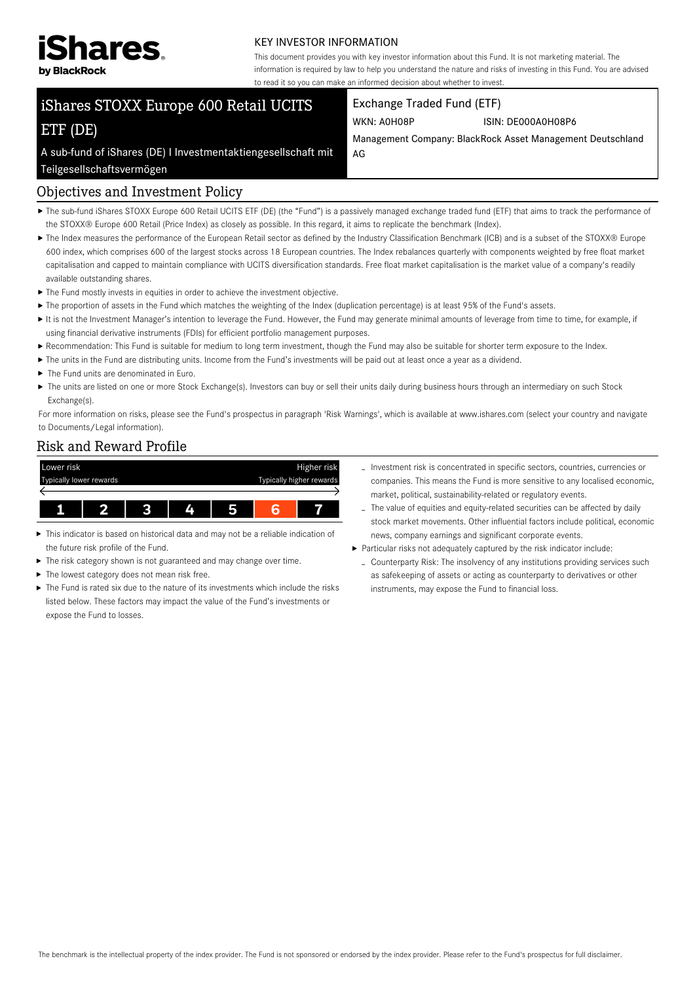

#### KEY INVESTOR INFORMATION

This document provides you with key investor information about this Fund. It is not marketing material. The information is required by law to help you understand the nature and risks of investing in this Fund. You are advised to read it so you can make an informed decision about whether to invest.

# iShares STOXX Europe 600 Retail UCITS ETF (DE)

#### Exchange Traded Fund (ETF)

WKN: A0H08P ISIN: DE000A0H08P6

Management Company: BlackRock Asset Management Deutschland AG

A sub-fund of iShares (DE) I Investmentaktiengesellschaft mit Teilgesellschaftsvermögen

#### Objectives and Investment Policy

- ▶ The sub-fund iShares STOXX Europe 600 Retail UCITS ETF (DE) (the "Fund") is a passively managed exchange traded fund (ETF) that aims to track the performance of the STOXX® Europe 600 Retail (Price Index) as closely as possible. In this regard, it aims to replicate the benchmark (Index).
- ▶ The Index measures the performance of the European Retail sector as defined by the Industry Classification Benchmark (ICB) and is a subset of the STOXX® Europe 600 index, which comprises 600 of the largest stocks across 18 European countries. The Index rebalances quarterly with components weighted by free float market capitalisation and capped to maintain compliance with UCITS diversification standards. Free float market capitalisation is the market value of a company's readily available outstanding shares.
- $\blacktriangleright$  The Fund mostly invests in equities in order to achieve the investment objective.
- ▶ The proportion of assets in the Fund which matches the weighting of the Index (duplication percentage) is at least 95% of the Fund's assets.
- It is not the Investment Manager's intention to leverage the Fund. However, the Fund may generate minimal amounts of leverage from time to time, for example, if using financial derivative instruments (FDIs) for efficient portfolio management purposes.
- Recommendation: This Fund is suitable for medium to long term investment, though the Fund may also be suitable for shorter term exposure to the Index.
- The units in the Fund are distributing units. Income from the Fund's investments will be paid out at least once a year as a dividend.
- $\blacktriangleright$  The Fund units are denominated in Euro.
- ▶ The units are listed on one or more Stock Exchange(s). Investors can buy or sell their units daily during business hours through an intermediary on such Stock Exchange(s).

For more information on risks, please see the Fund's prospectus in paragraph 'Risk Warnings', which is available at www.ishares.com (select your country and navigate to Documents/Legal information).

#### Risk and Reward Profile



- This indicator is based on historical data and may not be a reliable indication of the future risk profile of the Fund.
- $\blacktriangleright$  The risk category shown is not guaranteed and may change over time.
- $\blacktriangleright$  The lowest category does not mean risk free.
- The Fund is rated six due to the nature of its investments which include the risks listed below. These factors may impact the value of the Fund's investments or expose the Fund to losses.
- Investment risk is concentrated in specific sectors, countries, currencies or companies. This means the Fund is more sensitive to any localised economic, market, political, sustainability-related or regulatory events.
- The value of equities and equity-related securities can be affected by daily stock market movements. Other influential factors include political, economic news, company earnings and significant corporate events.
- Particular risks not adequately captured by the risk indicator include:
	- Counterparty Risk: The insolvency of any institutions providing services such as safekeeping of assets or acting as counterparty to derivatives or other instruments, may expose the Fund to financial loss.